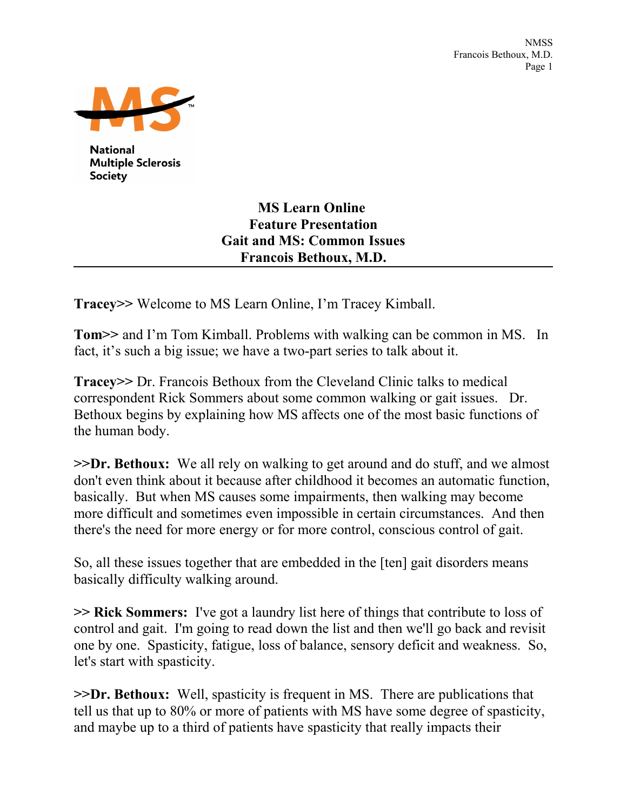

**National Multiple Sclerosis** Society

## **MS Learn Online Feature Presentation Gait and MS: Common Issues Francois Bethoux, M.D.**

**Tracey>>** Welcome to MS Learn Online, I'm Tracey Kimball.

**Tom>>** and I'm Tom Kimball. Problems with walking can be common in MS. In fact, it's such a big issue; we have a two-part series to talk about it.

**Tracey>>** Dr. Francois Bethoux from the Cleveland Clinic talks to medical correspondent Rick Sommers about some common walking or gait issues. Dr. Bethoux begins by explaining how MS affects one of the most basic functions of the human body.

**>>Dr. Bethoux:** We all rely on walking to get around and do stuff, and we almost don't even think about it because after childhood it becomes an automatic function, basically. But when MS causes some impairments, then walking may become more difficult and sometimes even impossible in certain circumstances. And then there's the need for more energy or for more control, conscious control of gait.

So, all these issues together that are embedded in the [ten] gait disorders means basically difficulty walking around.

**>> Rick Sommers:** I've got a laundry list here of things that contribute to loss of control and gait. I'm going to read down the list and then we'll go back and revisit one by one. Spasticity, fatigue, loss of balance, sensory deficit and weakness. So, let's start with spasticity.

**>>Dr. Bethoux:** Well, spasticity is frequent in MS. There are publications that tell us that up to 80% or more of patients with MS have some degree of spasticity, and maybe up to a third of patients have spasticity that really impacts their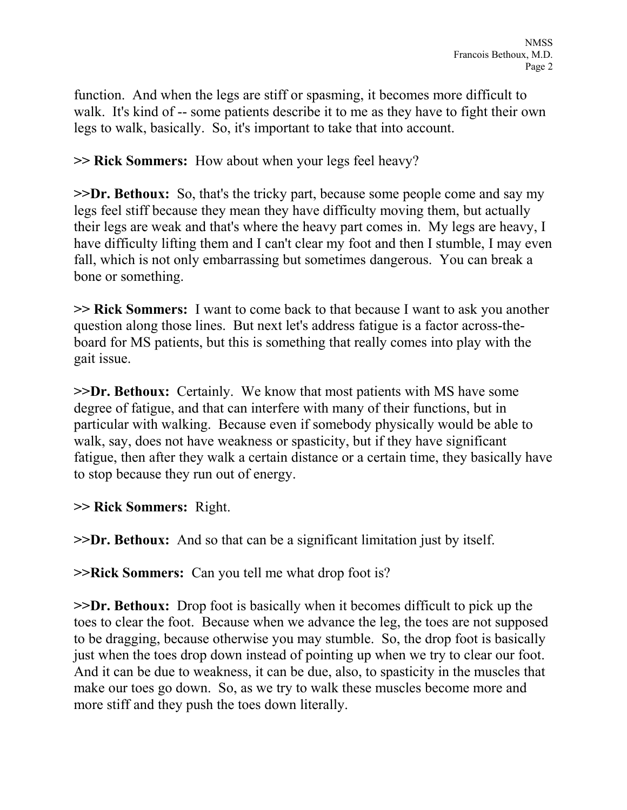function. And when the legs are stiff or spasming, it becomes more difficult to walk. It's kind of -- some patients describe it to me as they have to fight their own legs to walk, basically. So, it's important to take that into account.

**>> Rick Sommers:** How about when your legs feel heavy?

**>>Dr. Bethoux:** So, that's the tricky part, because some people come and say my legs feel stiff because they mean they have difficulty moving them, but actually their legs are weak and that's where the heavy part comes in. My legs are heavy, I have difficulty lifting them and I can't clear my foot and then I stumble, I may even fall, which is not only embarrassing but sometimes dangerous. You can break a bone or something.

**>> Rick Sommers:** I want to come back to that because I want to ask you another question along those lines. But next let's address fatigue is a factor across-theboard for MS patients, but this is something that really comes into play with the gait issue.

**>>Dr. Bethoux:** Certainly. We know that most patients with MS have some degree of fatigue, and that can interfere with many of their functions, but in particular with walking. Because even if somebody physically would be able to walk, say, does not have weakness or spasticity, but if they have significant fatigue, then after they walk a certain distance or a certain time, they basically have to stop because they run out of energy.

**>> Rick Sommers:** Right.

**>>Dr. Bethoux:** And so that can be a significant limitation just by itself.

**>>Rick Sommers:** Can you tell me what drop foot is?

**>>Dr. Bethoux:** Drop foot is basically when it becomes difficult to pick up the toes to clear the foot. Because when we advance the leg, the toes are not supposed to be dragging, because otherwise you may stumble. So, the drop foot is basically just when the toes drop down instead of pointing up when we try to clear our foot. And it can be due to weakness, it can be due, also, to spasticity in the muscles that make our toes go down. So, as we try to walk these muscles become more and more stiff and they push the toes down literally.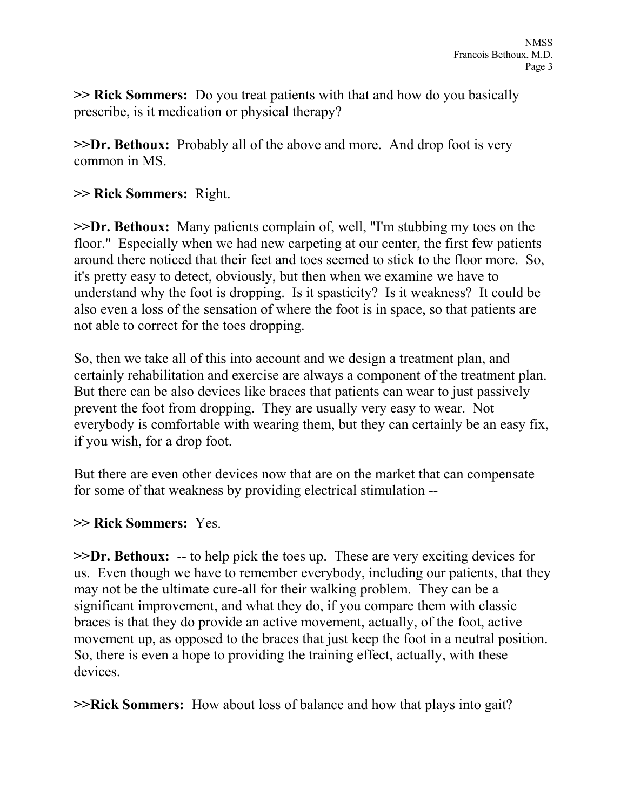**>> Rick Sommers:** Do you treat patients with that and how do you basically prescribe, is it medication or physical therapy?

**>>Dr. Bethoux:** Probably all of the above and more. And drop foot is very common in MS.

**>> Rick Sommers:** Right.

**>>Dr. Bethoux:** Many patients complain of, well, "I'm stubbing my toes on the floor." Especially when we had new carpeting at our center, the first few patients around there noticed that their feet and toes seemed to stick to the floor more. So, it's pretty easy to detect, obviously, but then when we examine we have to understand why the foot is dropping. Is it spasticity? Is it weakness? It could be also even a loss of the sensation of where the foot is in space, so that patients are not able to correct for the toes dropping.

So, then we take all of this into account and we design a treatment plan, and certainly rehabilitation and exercise are always a component of the treatment plan. But there can be also devices like braces that patients can wear to just passively prevent the foot from dropping. They are usually very easy to wear. Not everybody is comfortable with wearing them, but they can certainly be an easy fix, if you wish, for a drop foot.

But there are even other devices now that are on the market that can compensate for some of that weakness by providing electrical stimulation --

## **>> Rick Sommers:** Yes.

**>>Dr. Bethoux:** -- to help pick the toes up. These are very exciting devices for us. Even though we have to remember everybody, including our patients, that they may not be the ultimate cure-all for their walking problem. They can be a significant improvement, and what they do, if you compare them with classic braces is that they do provide an active movement, actually, of the foot, active movement up, as opposed to the braces that just keep the foot in a neutral position. So, there is even a hope to providing the training effect, actually, with these devices.

**>>Rick Sommers:** How about loss of balance and how that plays into gait?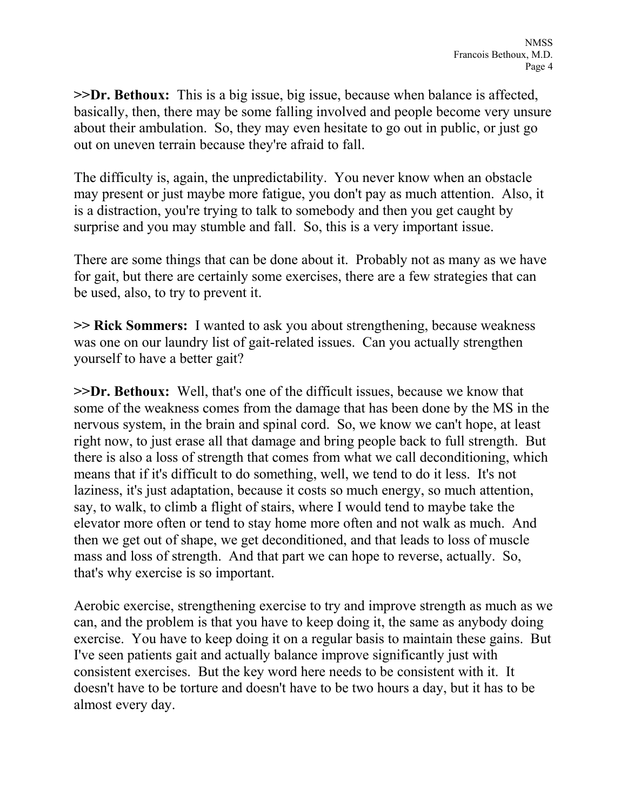**>>Dr. Bethoux:** This is a big issue, big issue, because when balance is affected, basically, then, there may be some falling involved and people become very unsure about their ambulation. So, they may even hesitate to go out in public, or just go out on uneven terrain because they're afraid to fall.

The difficulty is, again, the unpredictability. You never know when an obstacle may present or just maybe more fatigue, you don't pay as much attention. Also, it is a distraction, you're trying to talk to somebody and then you get caught by surprise and you may stumble and fall. So, this is a very important issue.

There are some things that can be done about it. Probably not as many as we have for gait, but there are certainly some exercises, there are a few strategies that can be used, also, to try to prevent it.

**>> Rick Sommers:** I wanted to ask you about strengthening, because weakness was one on our laundry list of gait-related issues. Can you actually strengthen yourself to have a better gait?

**>>Dr. Bethoux:** Well, that's one of the difficult issues, because we know that some of the weakness comes from the damage that has been done by the MS in the nervous system, in the brain and spinal cord. So, we know we can't hope, at least right now, to just erase all that damage and bring people back to full strength. But there is also a loss of strength that comes from what we call deconditioning, which means that if it's difficult to do something, well, we tend to do it less. It's not laziness, it's just adaptation, because it costs so much energy, so much attention, say, to walk, to climb a flight of stairs, where I would tend to maybe take the elevator more often or tend to stay home more often and not walk as much. And then we get out of shape, we get deconditioned, and that leads to loss of muscle mass and loss of strength. And that part we can hope to reverse, actually. So, that's why exercise is so important.

Aerobic exercise, strengthening exercise to try and improve strength as much as we can, and the problem is that you have to keep doing it, the same as anybody doing exercise. You have to keep doing it on a regular basis to maintain these gains. But I've seen patients gait and actually balance improve significantly just with consistent exercises. But the key word here needs to be consistent with it. It doesn't have to be torture and doesn't have to be two hours a day, but it has to be almost every day.